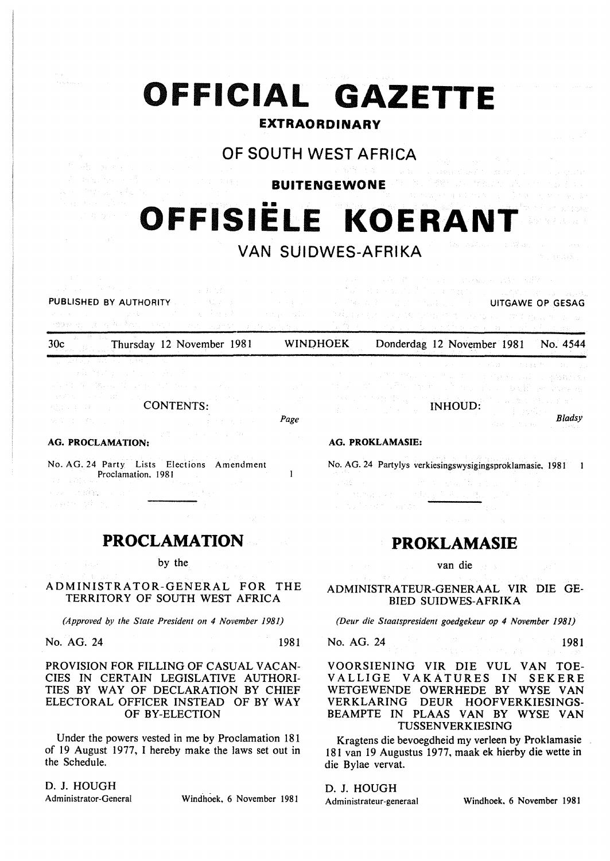|                                                                                                                                                                                                                                                                                                                                      | OFFICIAL GAZETTE<br><b>EXTRAORDINARY</b>                                                                                                                                                                                                                                                                                                        |
|--------------------------------------------------------------------------------------------------------------------------------------------------------------------------------------------------------------------------------------------------------------------------------------------------------------------------------------|-------------------------------------------------------------------------------------------------------------------------------------------------------------------------------------------------------------------------------------------------------------------------------------------------------------------------------------------------|
| 化阴酸 医牙骨上的<br>第二年纪 化二氯苯基 医牙齿的<br>a se provincia de Aleccio.<br>Alexandro de Aleccio                                                                                                                                                                                                                                                   | OF SOUTH WEST AFRICA<br>and the company of the second second that the com-<br>and the company of MS (14) and with a consent performance of a consenter<br><b>BUITENGEWONE</b> All the factor of the property<br>化氧化物医氧化物 医眼镜 医多种皮肤 医中心病 医动物                                                                                                     |
| ka postala njegov<br>still de legales en                                                                                                                                                                                                                                                                                             | OFFISIËLE KOERANT<br>VAN SUIDWES-AFRIKA<br>$\mathcal{R} \subset \{ \mathcal{R}, \{ \mathbf{y} \}_{\mathbf{y}}^{\mathbf{y}} \}$                                                                                                                                                                                                                  |
| (1) 14 (1) 30 million (1) 10 million (1) 10 million<br>PUBLISHED BY AUTHORITY AND A RESIDENT<br>and the control of the product<br>and the second state of the second state of the second state of the second state of the second state of the second<br>1998 at 10 million and the state of the state of the<br><b>Start College</b> | was a substitute to an interpretationally of<br>オブロック いっと けいがくしょ せんりょく<br>Control of the Control of the Control of the<br><b>A DIRECT BUT THE RESIDENT CONTINUITGAWE OP GESAG</b><br>de Alban e seu constituit de la forma de la compagnie de la política de la constitución de la política de la c<br>No centrate service and contract company |
| 30c<br>Thursday 12 November 1981                                                                                                                                                                                                                                                                                                     | <b>WINDHOEK</b><br>Donderdag 12 November 1981<br>No. 4544                                                                                                                                                                                                                                                                                       |

 $\mathbf{I}$ 

| 是,这种是,你真的人,也就是你的人。                                                                                             |           |                 |      |
|----------------------------------------------------------------------------------------------------------------|-----------|-----------------|------|
| 网络维护学 医血管下垂 医牙的                                                                                                |           |                 |      |
| 동일 2월 1일 - 1월 24일 1월 12일 2011년 12월 1일 1일 1일 1일 1일 1일 1일 1일 1일                                                  |           |                 |      |
| 방정식 사장은 여행 사장 <u>(1941 - 1941</u> - 1941 - 1942 - 1942 - 1942)<br>不忘れ 中国 いぼうしょう                                | CONTENTS: |                 |      |
| e termination de l'article de l'article de l'article de l'article de l'article de l'article de l'article de l' |           | (1) しゅうえいねつ かいい | Page |

#### AG. PROCLAMATION:

No. AG. 24 Party Lists Elections Amendment Proclamation. 1981 o dal

## **PROCLAMATION**

by the

## ADMINISTRATOR-GENERAL FOR THE TERRITORY OF SOUTH WEST AFRICA

*(Approved by the State President on 4 November 1981)* 

No. AG. 24 1981

#### PROVISION FOR FILLING OF CASUAL VACAN-CIES IN CERTAIN LEGISLATIVE AUTHORI-TIES BY WAY OF DECLARATION BY CHIEF ELECTORAL OFFICER INSTEAD OF BY WAY OF BY-ELECTION

Under the powers vested in me by Proclamation 181 of 19 August 1977, I hereby make the laws set out in the Schedule.

D. J. HOUGH

Administrator-General Windhoek, 6 November 1981

No. AG. 24 Partylys verkiesingswysigingsproklamasie. 1981

INHOUD:

*Bladsy* 

 $\blacksquare$ 

# **PROKLAMASIE**

van die

ADMINISTRATEUR-GENERAAL VIR DIE GE-BIED SUIDWES-AFRIKA

*(Deur die Staatspresident goedgekeur op 4 November 1981)* 

No. AG. 24 1981

### VOORSIENING VIR DIE VUL VAN TOE-VALLIGE VAKATURES IN SEKERE WETGEWENDE OWERHEDE BY WYSE VAN VERKLARING DEUR HOOFVERKIESINGS-BEAMPTE IN PLAAS VAN BY WYSE VAN TUSSENVERKIESING

Kragtens die bevoegdheid my verleen by Proklamasie 181 van 19 Augustus 1977, maak ek hierby die wette in die Bylae vervat.

D. J. HOUGH

AG. PROKLAMASIE:

Administrateur-generaal Windhoek. 6 November 1981